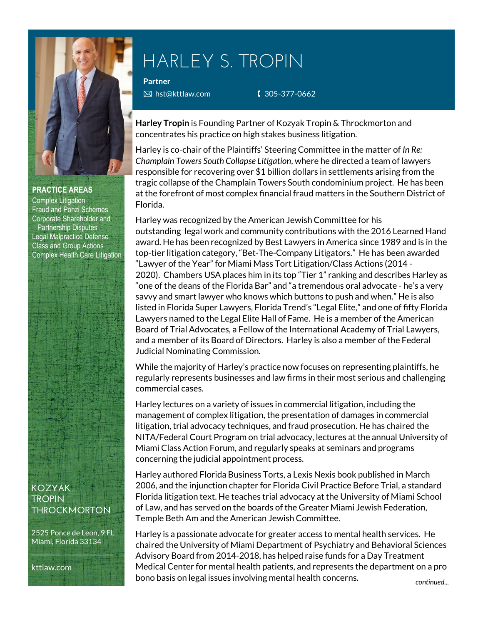

#### **PRACTICE AREAS**

Complex Litigation Fraud and Ponzi Schemes Corporate Shareholder and Partnership Disputes Legal Malpractice Defense Class and Group Actions Complex Health Care Litigation

## **KOZYAK TROPIN THROCKMORTON**

2525 Ponce de Leon, 9 FL Miami, Florida 33134  $\mathcal{L}=\mathcal{L}+\mathcal{L}+\mathcal{L}+\mathcal{L}+\mathcal{L}+\mathcal{L}+\mathcal{L}+\mathcal{L}+\mathcal{L}+\mathcal{L}+\mathcal{L}+\mathcal{L}+\mathcal{L}+\mathcal{L}+\mathcal{L}+\mathcal{L}+\mathcal{L}+\mathcal{L}+\mathcal{L}+\mathcal{L}+\mathcal{L}+\mathcal{L}+\mathcal{L}+\mathcal{L}+\mathcal{L}+\mathcal{L}+\mathcal{L}+\mathcal{L}+\mathcal{L}+\mathcal{L}+\mathcal{L}+\mathcal{L}+\mathcal{L}+\mathcal{L}+\mathcal{L}+\mathcal{$ 

kttlaw.com

# HARLEY S. TROPIN

**Partner**

**E** hst@kttlaw.com **8261 € 1305-377-0662** 

**Harley Tropin** is Founding Partner of Kozyak Tropin & Throckmorton and concentrates his practice on high stakes business litigation.

Harley is co-chair of the Plaintiffs' Steering Committee in the matter of *In Re: Champlain Towers South Collapse Litigation*, where he directed a team of lawyers responsible for recovering over \$1 billion dollars in settlements arising from the tragic collapse of the Champlain Towers South condominium project. He has been at the forefront of most complex financial fraud matters in the Southern District of Florida.

Harley was recognized by the American Jewish Committee for his outstanding legal work and community contributions with the 2016 Learned Hand award. He has been recognized by Best Lawyers in America since 1989 and is in the top-tier litigation category, "Bet-The-Company Litigators." He has been awarded "Lawyer of the Year" for Miami Mass Tort Litigation/Class Actions (2014 - 2020). Chambers USA places him in its top "Tier 1" ranking and describes Harley as "one of the deans of the Florida Bar" and "a tremendous oral advocate - he's a very savvy and smart lawyer who knows which buttons to push and when." He is also listed in Florida Super Lawyers, Florida Trend's "Legal Elite," and one of fifty Florida Lawyers named to the Legal Elite Hall of Fame. He is a member of the American Board of Trial Advocates, a Fellow of the International Academy of Trial Lawyers, and a member of its Board of Directors. Harley is also a member of the Federal Judicial Nominating Commission.

While the majority of Harley's practice now focuses on representing plaintiffs, he regularly represents businesses and law firms in their most serious and challenging commercial cases.

Harley lectures on a variety of issues in commercial litigation, including the management of complex litigation, the presentation of damages in commercial litigation, trial advocacy techniques, and fraud prosecution. He has chaired the NITA/Federal Court Program on trial advocacy, lectures at the annual University of Miami Class Action Forum, and regularly speaks at seminars and programs concerning the judicial appointment process.

Harley authored Florida Business Torts, a Lexis Nexis book published in March 2006, and the injunction chapter for Florida Civil Practice Before Trial, a standard Florida litigation text. He teaches trial advocacy at the University of Miami School of Law, and has served on the boards of the Greater Miami Jewish Federation, Temple Beth Am and the American Jewish Committee.

Harley is a passionate advocate for greater access to mental health services. He chaired the University of Miami Department of Psychiatry and Behavioral Sciences Advisory Board from 2014-2018, has helped raise funds for a Day Treatment Medical Center for mental health patients, and represents the department on a pro bono basis on legal issues involving mental health concerns.